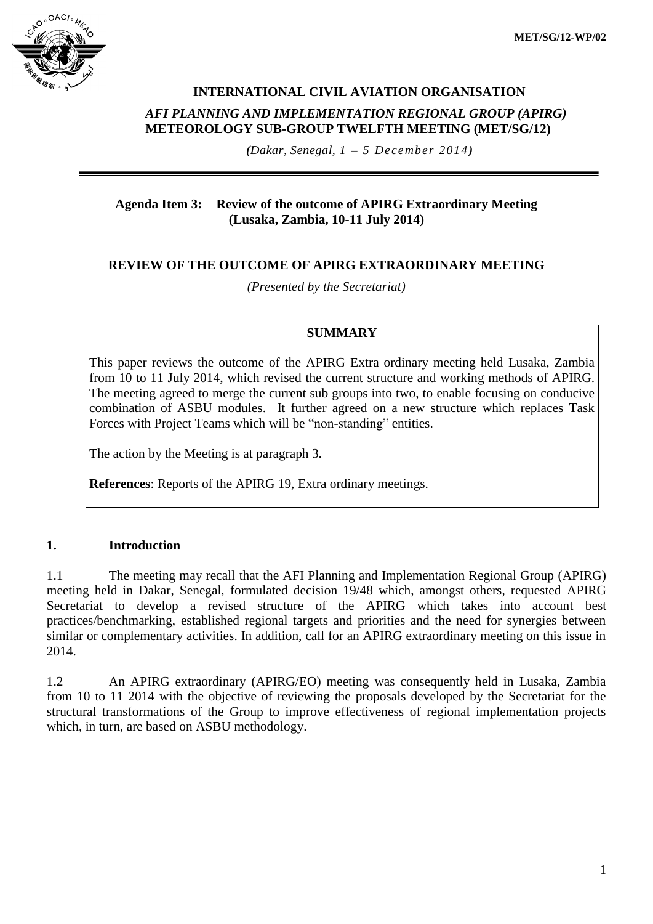

# **INTERNATIONAL CIVIL AVIATION ORGANISATION**  *AFI PLANNING AND IMPLEMENTATION REGIONAL GROUP (APIRG)* **METEOROLOGY SUB-GROUP TWELFTH MEETING (MET/SG/12)**

*(Dakar, Senegal, 1 – 5 December 2014)*

### **Agenda Item 3: Review of the outcome of APIRG Extraordinary Meeting (Lusaka, Zambia, 10-11 July 2014)**

## **REVIEW OF THE OUTCOME OF APIRG EXTRAORDINARY MEETING**

*(Presented by the Secretariat)*

## **SUMMARY**

This paper reviews the outcome of the APIRG Extra ordinary meeting held Lusaka, Zambia from 10 to 11 July 2014, which revised the current structure and working methods of APIRG. The meeting agreed to merge the current sub groups into two, to enable focusing on conducive combination of ASBU modules. It further agreed on a new structure which replaces Task Forces with Project Teams which will be "non-standing" entities.

The action by the Meeting is at paragraph 3.

**References**: Reports of the APIRG 19, Extra ordinary meetings.

## **1. Introduction**

1.1 The meeting may recall that the AFI Planning and Implementation Regional Group (APIRG) meeting held in Dakar, Senegal, formulated decision 19/48 which, amongst others, requested APIRG Secretariat to develop a revised structure of the APIRG which takes into account best practices/benchmarking, established regional targets and priorities and the need for synergies between similar or complementary activities. In addition, call for an APIRG extraordinary meeting on this issue in 2014.

1.2 An APIRG extraordinary (APIRG/EO) meeting was consequently held in Lusaka, Zambia from 10 to 11 2014 with the objective of reviewing the proposals developed by the Secretariat for the structural transformations of the Group to improve effectiveness of regional implementation projects which, in turn, are based on ASBU methodology.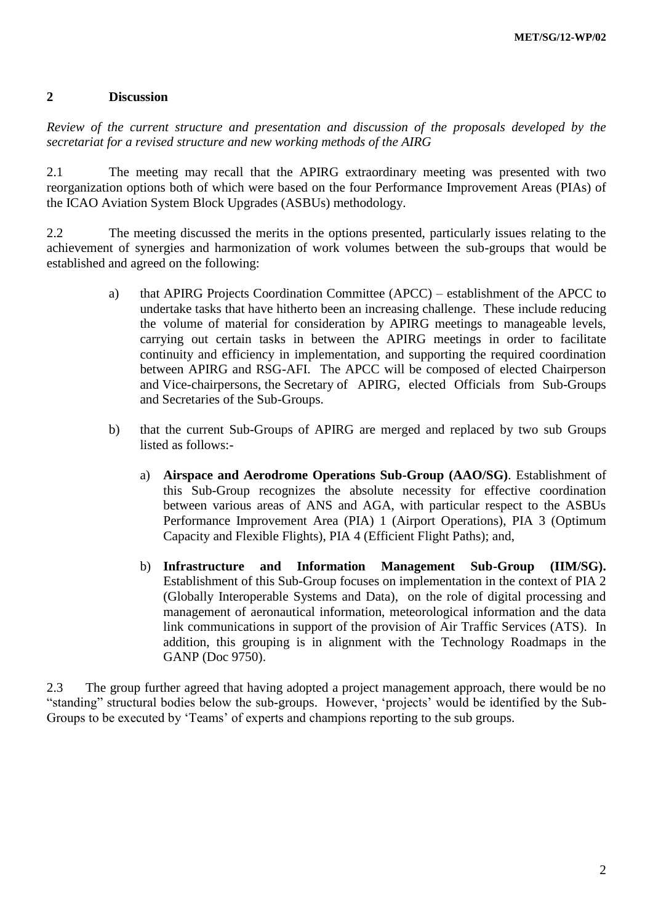#### **2 Discussion**

*Review of the current structure and presentation and discussion of the proposals developed by the secretariat for a revised structure and new working methods of the AIRG* 

2.1 The meeting may recall that the APIRG extraordinary meeting was presented with two reorganization options both of which were based on the four Performance Improvement Areas (PIAs) of the ICAO Aviation System Block Upgrades (ASBUs) methodology.

2.2 The meeting discussed the merits in the options presented, particularly issues relating to the achievement of synergies and harmonization of work volumes between the sub-groups that would be established and agreed on the following:

- a) that APIRG Projects Coordination Committee (APCC) establishment of the APCC to undertake tasks that have hitherto been an increasing challenge. These include reducing the volume of material for consideration by APIRG meetings to manageable levels, carrying out certain tasks in between the APIRG meetings in order to facilitate continuity and efficiency in implementation, and supporting the required coordination between APIRG and RSG-AFI. The APCC will be composed of elected Chairperson and Vice-chairpersons, the Secretary of APIRG, elected Officials from Sub-Groups and Secretaries of the Sub-Groups.
- b) that the current Sub-Groups of APIRG are merged and replaced by two sub Groups listed as follows:
	- a) **Airspace and Aerodrome Operations Sub-Group (AAO/SG)**. Establishment of this Sub-Group recognizes the absolute necessity for effective coordination between various areas of ANS and AGA, with particular respect to the ASBUs Performance Improvement Area (PIA) 1 (Airport Operations), PIA 3 (Optimum Capacity and Flexible Flights), PIA 4 (Efficient Flight Paths); and,
	- b) **Infrastructure and Information Management Sub-Group (IIM/SG).**  Establishment of this Sub-Group focuses on implementation in the context of PIA 2 (Globally Interoperable Systems and Data), on the role of digital processing and management of aeronautical information, meteorological information and the data link communications in support of the provision of Air Traffic Services (ATS). In addition, this grouping is in alignment with the Technology Roadmaps in the GANP (Doc 9750).

2.3 The group further agreed that having adopted a project management approach, there would be no "standing" structural bodies below the sub-groups. However, 'projects' would be identified by the Sub-Groups to be executed by 'Teams' of experts and champions reporting to the sub groups.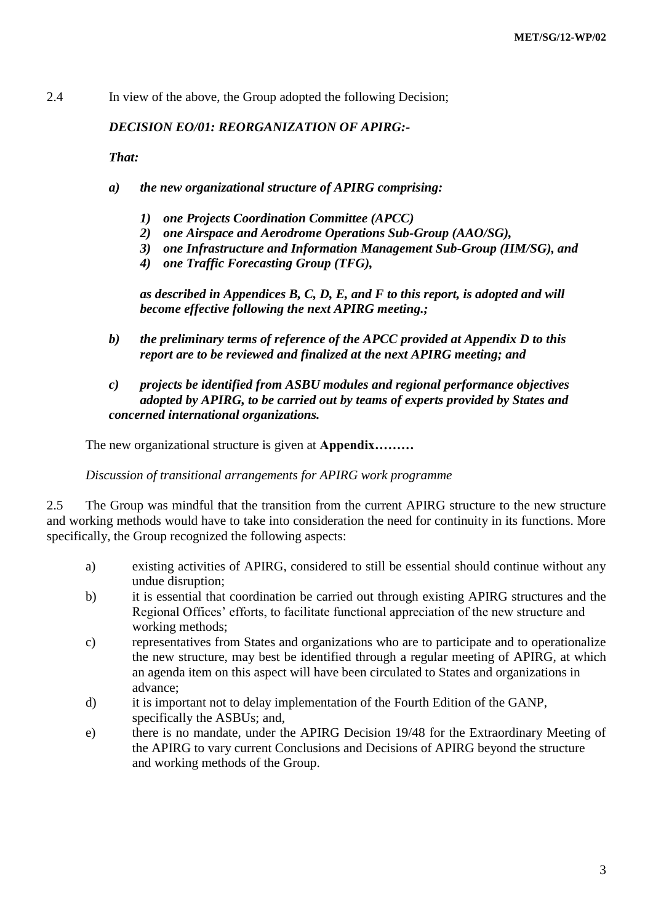2.4 In view of the above, the Group adopted the following Decision;

## *DECISION EO/01: REORGANIZATION OF APIRG:-*

*That:* 

- *a) the new organizational structure of APIRG comprising:* 
	- *1) one Projects Coordination Committee (APCC)*
	- *2) one Airspace and Aerodrome Operations Sub-Group (AAO/SG),*
	- *3) one Infrastructure and Information Management Sub-Group (IIM/SG), and*
	- *4) one Traffic Forecasting Group (TFG),*

*as described in Appendices B, C, D, E, and F to this report, is adopted and will become effective following the next APIRG meeting.;* 

- *b) the preliminary terms of reference of the APCC provided at Appendix D to this report are to be reviewed and finalized at the next APIRG meeting; and*
- *c) projects be identified from ASBU modules and regional performance objectives adopted by APIRG, to be carried out by teams of experts provided by States and concerned international organizations.*

The new organizational structure is given at **Appendix………** 

*Discussion of transitional arrangements for APIRG work programme*

2.5 The Group was mindful that the transition from the current APIRG structure to the new structure and working methods would have to take into consideration the need for continuity in its functions. More specifically, the Group recognized the following aspects:

- a) existing activities of APIRG, considered to still be essential should continue without any undue disruption;
- b) it is essential that coordination be carried out through existing APIRG structures and the Regional Offices' efforts, to facilitate functional appreciation of the new structure and working methods;
- c) representatives from States and organizations who are to participate and to operationalize the new structure, may best be identified through a regular meeting of APIRG, at which an agenda item on this aspect will have been circulated to States and organizations in advance;
- d) it is important not to delay implementation of the Fourth Edition of the GANP, specifically the ASBUs; and,
- e) there is no mandate, under the APIRG Decision 19/48 for the Extraordinary Meeting of the APIRG to vary current Conclusions and Decisions of APIRG beyond the structure and working methods of the Group.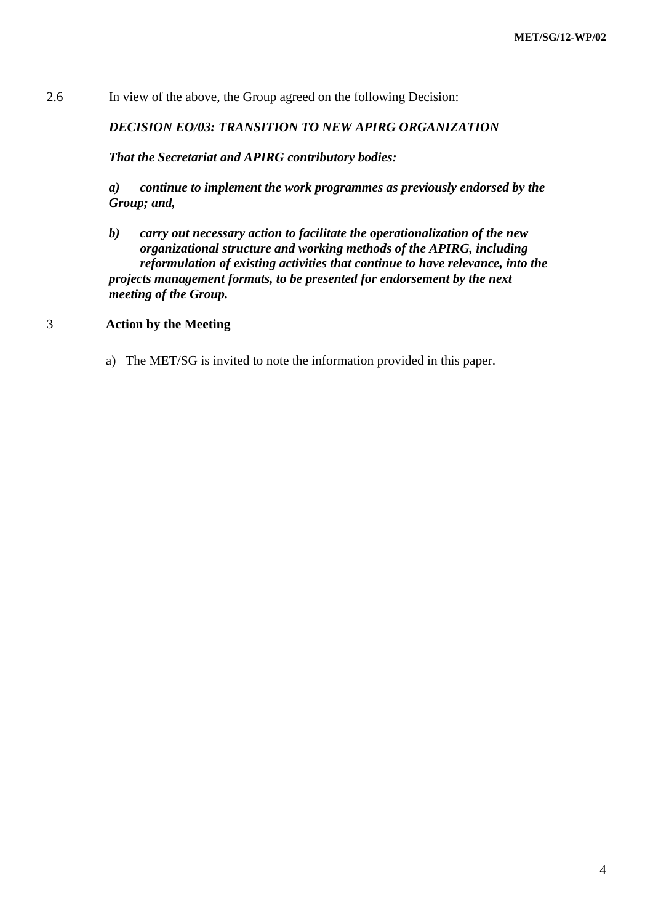2.6 In view of the above, the Group agreed on the following Decision:

### *DECISION EO/03: TRANSITION TO NEW APIRG ORGANIZATION*

*That the Secretariat and APIRG contributory bodies:* 

*a) continue to implement the work programmes as previously endorsed by the Group; and,*

*b) carry out necessary action to facilitate the operationalization of the new organizational structure and working methods of the APIRG, including reformulation of existing activities that continue to have relevance, into the projects management formats, to be presented for endorsement by the next meeting of the Group.* 

#### 3 **Action by the Meeting**

a) The MET/SG is invited to note the information provided in this paper.